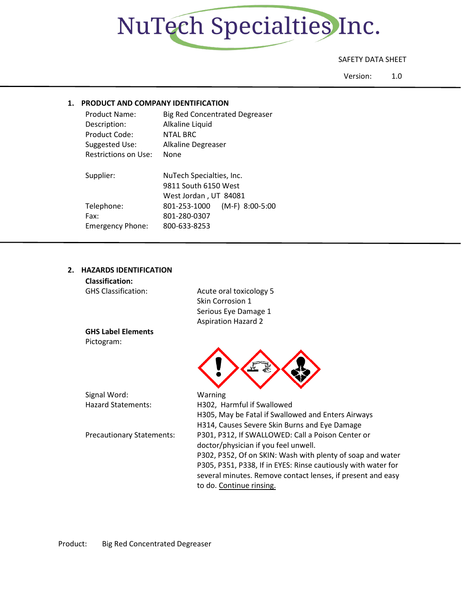

## SAFETY DATA SHEET

Version: 1.0

## **1. PRODUCT AND COMPANY IDENTIFICATION**

| Product Name:<br>Description:<br>Product Code:<br>Suggested Use: | <b>Big Red Concentrated Degreaser</b><br>Alkaline Liquid<br>NTAL BRC<br>Alkaline Degreaser |  |
|------------------------------------------------------------------|--------------------------------------------------------------------------------------------|--|
| Restrictions on Use:                                             | None                                                                                       |  |
| Supplier:                                                        | NuTech Specialties, Inc.<br>9811 South 6150 West                                           |  |
| Telephone:<br>Fax:<br><b>Emergency Phone:</b>                    | West Jordan, UT 84081<br>$(M-F)$ 8:00-5:00<br>801-253-1000<br>801-280-0307<br>800-633-8253 |  |

# **2. HAZARDS IDENTIFICATION**

| <b>Classification:</b>           |                                                               |
|----------------------------------|---------------------------------------------------------------|
| <b>GHS Classification:</b>       | Acute oral toxicology 5                                       |
|                                  | Skin Corrosion 1                                              |
|                                  | Serious Eye Damage 1                                          |
|                                  | <b>Aspiration Hazard 2</b>                                    |
| <b>GHS Label Elements</b>        |                                                               |
| Pictogram:                       |                                                               |
|                                  |                                                               |
|                                  |                                                               |
|                                  |                                                               |
|                                  |                                                               |
| Signal Word:                     | Warning                                                       |
| <b>Hazard Statements:</b>        | H302, Harmful if Swallowed                                    |
|                                  | H305, May be Fatal if Swallowed and Enters Airways            |
|                                  | H314, Causes Severe Skin Burns and Eye Damage                 |
| <b>Precautionary Statements:</b> | P301, P312, If SWALLOWED: Call a Poison Center or             |
|                                  | doctor/physician if you feel unwell.                          |
|                                  | P302, P352, Of on SKIN: Wash with plenty of soap and water    |
|                                  | P305, P351, P338, If in EYES: Rinse cautiously with water for |
|                                  | several minutes. Remove contact lenses, if present and easy   |
|                                  |                                                               |

to do. Continue rinsing.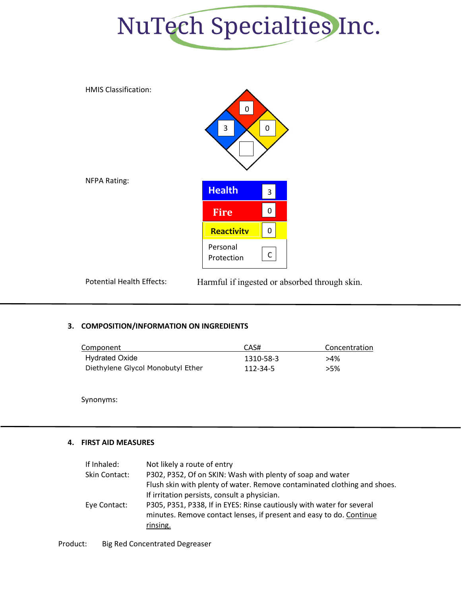



Potential Health Effects: Harmful if ingested or absorbed through skin.

## **3. COMPOSITION/INFORMATION ON INGREDIENTS**

| Component                         | CAS#      | Concentration |
|-----------------------------------|-----------|---------------|
| <b>Hydrated Oxide</b>             | 1310-58-3 | >4%           |
| Diethylene Glycol Monobutyl Ether | 112-34-5  | >5%           |

Synonyms:

## **4. FIRST AID MEASURES**

| If Inhaled:   | Not likely a route of entry                                              |
|---------------|--------------------------------------------------------------------------|
| Skin Contact: | P302, P352, Of on SKIN: Wash with plenty of soap and water               |
|               | Flush skin with plenty of water. Remove contaminated clothing and shoes. |
|               | If irritation persists, consult a physician.                             |
| Eye Contact:  | P305, P351, P338, If in EYES: Rinse cautiously with water for several    |
|               | minutes. Remove contact lenses, if present and easy to do. Continue      |
|               | rinsing.                                                                 |
|               |                                                                          |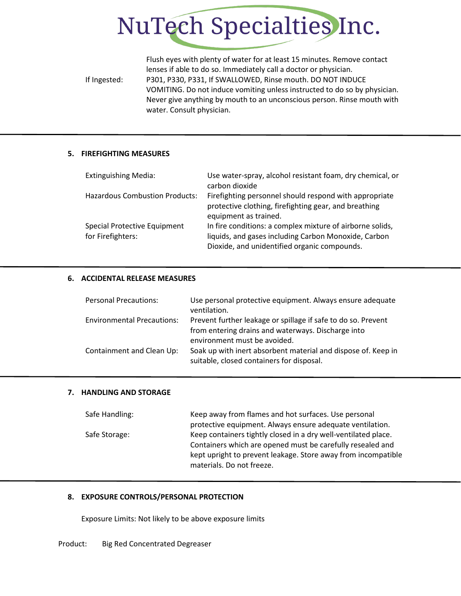

Flush eyes with plenty of water for at least 15 minutes. Remove contact lenses if able to do so. Immediately call a doctor or physician. If Ingested: P301, P330, P331, If SWALLOWED, Rinse mouth. DO NOT INDUCE VOMITING. Do not induce vomiting unless instructed to do so by physician. Never give anything by mouth to an unconscious person. Rinse mouth with water. Consult physician.

## **5. FIREFIGHTING MEASURES**

| <b>Extinguishing Media:</b>                       | Use water-spray, alcohol resistant foam, dry chemical, or<br>carbon dioxide                                                                                       |
|---------------------------------------------------|-------------------------------------------------------------------------------------------------------------------------------------------------------------------|
| <b>Hazardous Combustion Products:</b>             | Firefighting personnel should respond with appropriate<br>protective clothing, firefighting gear, and breathing<br>equipment as trained.                          |
| Special Protective Equipment<br>for Firefighters: | In fire conditions: a complex mixture of airborne solids,<br>liquids, and gases including Carbon Monoxide, Carbon<br>Dioxide, and unidentified organic compounds. |

## **6. ACCIDENTAL RELEASE MEASURES**

| <b>Personal Precautions:</b>      | Use personal protective equipment. Always ensure adequate<br>ventilation.                                           |
|-----------------------------------|---------------------------------------------------------------------------------------------------------------------|
| <b>Environmental Precautions:</b> | Prevent further leakage or spillage if safe to do so. Prevent<br>from entering drains and waterways. Discharge into |
|                                   | environment must be avoided.                                                                                        |
| Containment and Clean Up:         | Soak up with inert absorbent material and dispose of. Keep in<br>suitable, closed containers for disposal.          |

## **7. HANDLING AND STORAGE**

| Safe Handling: | Keep away from flames and hot surfaces. Use personal           |  |  |
|----------------|----------------------------------------------------------------|--|--|
|                | protective equipment. Always ensure adequate ventilation.      |  |  |
| Safe Storage:  | Keep containers tightly closed in a dry well-ventilated place. |  |  |
|                | Containers which are opened must be carefully resealed and     |  |  |
|                | kept upright to prevent leakage. Store away from incompatible  |  |  |
|                | materials. Do not freeze.                                      |  |  |

## **8. EXPOSURE CONTROLS/PERSONAL PROTECTION**

Exposure Limits: Not likely to be above exposure limits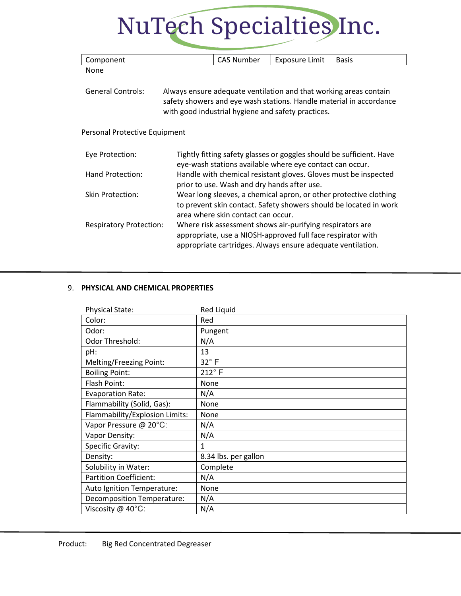# NuTech Specialties Inc.

| Component                                                                                                                                                                                                                  |                                                                                                                                                                                         | <b>CAS Number</b> | <b>Exposure Limit</b> | <b>Basis</b> |
|----------------------------------------------------------------------------------------------------------------------------------------------------------------------------------------------------------------------------|-----------------------------------------------------------------------------------------------------------------------------------------------------------------------------------------|-------------------|-----------------------|--------------|
| None                                                                                                                                                                                                                       |                                                                                                                                                                                         |                   |                       |              |
| <b>General Controls:</b><br>Always ensure adequate ventilation and that working areas contain<br>safety showers and eye wash stations. Handle material in accordance<br>with good industrial hygiene and safety practices. |                                                                                                                                                                                         |                   |                       |              |
| Personal Protective Equipment                                                                                                                                                                                              |                                                                                                                                                                                         |                   |                       |              |
| Tightly fitting safety glasses or goggles should be sufficient. Have<br>Eye Protection:<br>eye-wash stations available where eye contact can occur.                                                                        |                                                                                                                                                                                         |                   |                       |              |
| Hand Protection:                                                                                                                                                                                                           | Handle with chemical resistant gloves. Gloves must be inspected<br>prior to use. Wash and dry hands after use.                                                                          |                   |                       |              |
| Skin Protection:                                                                                                                                                                                                           | Wear long sleeves, a chemical apron, or other protective clothing<br>to prevent skin contact. Safety showers should be located in work<br>area where skin contact can occur.            |                   |                       |              |
| <b>Respiratory Protection:</b>                                                                                                                                                                                             | Where risk assessment shows air-purifying respirators are<br>appropriate, use a NIOSH-approved full face respirator with<br>appropriate cartridges. Always ensure adequate ventilation. |                   |                       |              |

## 9. **PHYSICAL AND CHEMICAL PROPERTIES**

| <b>Physical State:</b>         | <b>Red Liquid</b>    |
|--------------------------------|----------------------|
| Color:                         | Red                  |
| Odor:                          | Pungent              |
| Odor Threshold:                | N/A                  |
| pH:                            | 13                   |
| Melting/Freezing Point:        | $32^\circ$ F         |
| <b>Boiling Point:</b>          | $212^{\circ}$ F      |
| Flash Point:                   | None                 |
| <b>Evaporation Rate:</b>       | N/A                  |
| Flammability (Solid, Gas):     | None                 |
| Flammability/Explosion Limits: | None                 |
| Vapor Pressure @ 20°C:         | N/A                  |
| Vapor Density:                 | N/A                  |
| Specific Gravity:              | 1                    |
| Density:                       | 8.34 lbs. per gallon |
| Solubility in Water:           | Complete             |
| <b>Partition Coefficient:</b>  | N/A                  |
| Auto Ignition Temperature:     | None                 |
| Decomposition Temperature:     | N/A                  |
| Viscosity @ 40°C:              | N/A                  |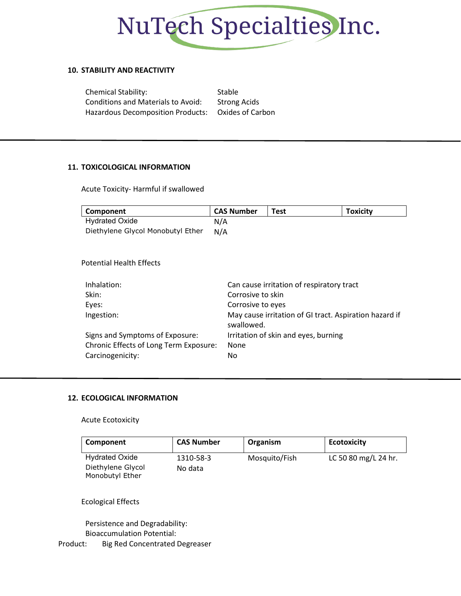

## **10. STABILITY AND REACTIVITY**

| <b>Chemical Stability:</b>                         | Stable              |
|----------------------------------------------------|---------------------|
| <b>Conditions and Materials to Avoid:</b>          | <b>Strong Acids</b> |
| Hazardous Decomposition Products: Oxides of Carbon |                     |

## **11. TOXICOLOGICAL INFORMATION**

Acute Toxicity- Harmful if swallowed

| Component                              | <b>CAS Number</b> | <b>Test</b>                                            | <b>Toxicity</b> |
|----------------------------------------|-------------------|--------------------------------------------------------|-----------------|
| <b>Hydrated Oxide</b>                  | N/A               |                                                        |                 |
| Diethylene Glycol Monobutyl Ether      | N/A               |                                                        |                 |
|                                        |                   |                                                        |                 |
| <b>Potential Health Effects</b>        |                   |                                                        |                 |
| Inhalation:                            |                   | Can cause irritation of respiratory tract              |                 |
| Skin:                                  | Corrosive to skin |                                                        |                 |
| Eyes:                                  | Corrosive to eyes |                                                        |                 |
| Ingestion:                             | swallowed.        | May cause irritation of GI tract. Aspiration hazard if |                 |
| Signs and Symptoms of Exposure:        |                   | Irritation of skin and eyes, burning                   |                 |
| Chronic Effects of Long Term Exposure: | None              |                                                        |                 |

## **12. ECOLOGICAL INFORMATION**

Carcinogenicity: No

## Acute Ecotoxicity

| Component             | <b>CAS Number</b> | Organism      | <b>Ecotoxicity</b>   |
|-----------------------|-------------------|---------------|----------------------|
| <b>Hydrated Oxide</b> | 1310-58-3         | Mosquito/Fish | LC 50 80 mg/L 24 hr. |
| Diethylene Glycol     | No data           |               |                      |
| Monobutyl Ether       |                   |               |                      |

## Ecological Effects

Persistence and Degradability:

Bioaccumulation Potential: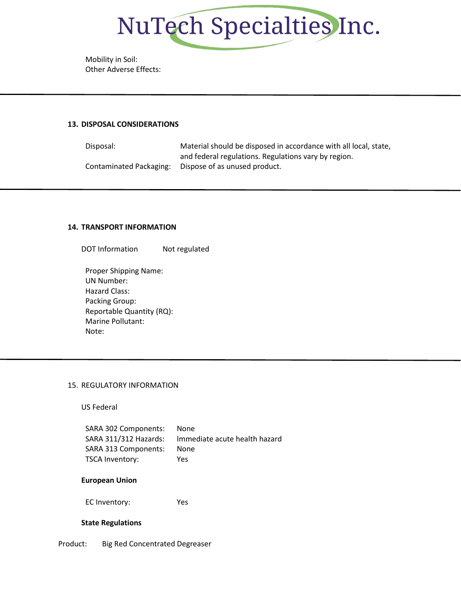

Mobility in Soil: Other Adverse Effects:

## **13. DISPOSAL CONSIDERATIONS**

Disposal: Material should be disposed in accordance with all local, state, and federal regulations. Regulations vary by region. Contaminated Packaging: Dispose of as unused product.

#### **14. TRANSPORT INFORMATION**

DOT Information Not regulated

Proper Shipping Name: UN Number: Hazard Class: Packing Group: Reportable Quantity (RQ): Marine Pollutant: Note:

## 15. REGULATORY INFORMATION

US Federal

| SARA 302 Components:  | None                          |
|-----------------------|-------------------------------|
| SARA 311/312 Hazards: | Immediate acute health hazard |
| SARA 313 Components:  | None                          |
| TSCA Inventory:       | Yes                           |

## **European Union**

EC Inventory: Yes

## **State Regulations**